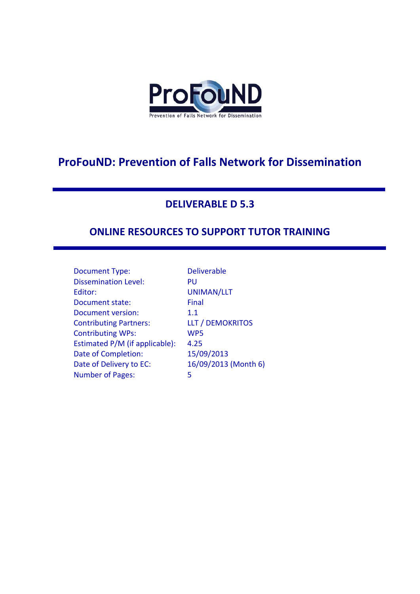

# **ProFouND: Prevention of Falls Network for Dissemination**

## **DELIVERABLE D 5.3**

## **ONLINE RESOURCES TO SUPPORT TUTOR TRAINING**

| Document Type:                 | Del             |
|--------------------------------|-----------------|
| <b>Dissemination Level:</b>    | PU              |
| Editor:                        | UN              |
| Document state:                | Fin             |
| Document version:              | $1.1\,$         |
| <b>Contributing Partners:</b>  | LLT             |
| <b>Contributing WPs:</b>       | WF              |
| Estimated P/M (if applicable): | 4.2             |
| Date of Completion:            | 15/             |
| Date of Delivery to EC:        | 16 <sub>l</sub> |
| <b>Number of Pages:</b>        | 5               |

Deliverable PU UNIMAN/LLT Final LLT / DEMOKRITOS WP5  $\vdots$  4.25 15/09/2013 16/09/2013 (Month 6)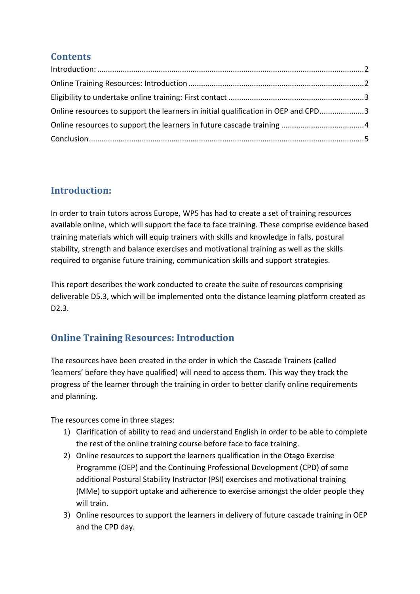#### **Contents**

| Online resources to support the learners in initial qualification in OEP and CPD3 |  |
|-----------------------------------------------------------------------------------|--|
|                                                                                   |  |
|                                                                                   |  |

## <span id="page-1-0"></span>**Introduction:**

In order to train tutors across Europe, WP5 has had to create a set of training resources available online, which will support the face to face training. These comprise evidence based training materials which will equip trainers with skills and knowledge in falls, postural stability, strength and balance exercises and motivational training as well as the skills required to organise future training, communication skills and support strategies.

This report describes the work conducted to create the suite of resources comprising deliverable D5.3, which will be implemented onto the distance learning platform created as D2.3.

## <span id="page-1-1"></span>**Online Training Resources: Introduction**

The resources have been created in the order in which the Cascade Trainers (called 'learners' before they have qualified) will need to access them. This way they track the progress of the learner through the training in order to better clarify online requirements and planning.

The resources come in three stages:

- 1) Clarification of ability to read and understand English in order to be able to complete the rest of the online training course before face to face training.
- 2) Online resources to support the learners qualification in the Otago Exercise Programme (OEP) and the Continuing Professional Development (CPD) of some additional Postural Stability Instructor (PSI) exercises and motivational training (MMe) to support uptake and adherence to exercise amongst the older people they will train.
- 3) Online resources to support the learners in delivery of future cascade training in OEP and the CPD day.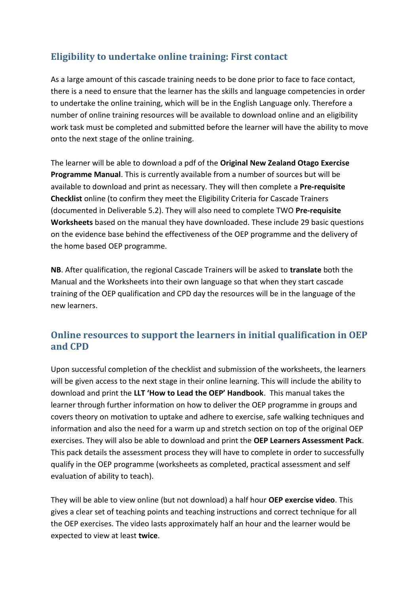#### <span id="page-2-0"></span>**Eligibility to undertake online training: First contact**

As a large amount of this cascade training needs to be done prior to face to face contact, there is a need to ensure that the learner has the skills and language competencies in order to undertake the online training, which will be in the English Language only. Therefore a number of online training resources will be available to download online and an eligibility work task must be completed and submitted before the learner will have the ability to move onto the next stage of the online training.

The learner will be able to download a pdf of the **Original New Zealand Otago Exercise Programme Manual**. This is currently available from a number of sources but will be available to download and print as necessary. They will then complete a **Pre-requisite Checklist** online (to confirm they meet the Eligibility Criteria for Cascade Trainers (documented in Deliverable 5.2). They will also need to complete TWO **Pre-requisite Worksheets** based on the manual they have downloaded. These include 29 basic questions on the evidence base behind the effectiveness of the OEP programme and the delivery of the home based OEP programme.

**NB**. After qualification, the regional Cascade Trainers will be asked to **translate** both the Manual and the Worksheets into their own language so that when they start cascade training of the OEP qualification and CPD day the resources will be in the language of the new learners.

#### <span id="page-2-1"></span>**Online resources to support the learners in initial qualification in OEP and CPD**

Upon successful completion of the checklist and submission of the worksheets, the learners will be given access to the next stage in their online learning. This will include the ability to download and print the **LLT 'How to Lead the OEP' Handbook**. This manual takes the learner through further information on how to deliver the OEP programme in groups and covers theory on motivation to uptake and adhere to exercise, safe walking techniques and information and also the need for a warm up and stretch section on top of the original OEP exercises. They will also be able to download and print the **OEP Learners Assessment Pack**. This pack details the assessment process they will have to complete in order to successfully qualify in the OEP programme (worksheets as completed, practical assessment and self evaluation of ability to teach).

They will be able to view online (but not download) a half hour **OEP exercise video**. This gives a clear set of teaching points and teaching instructions and correct technique for all the OEP exercises. The video lasts approximately half an hour and the learner would be expected to view at least **twice**.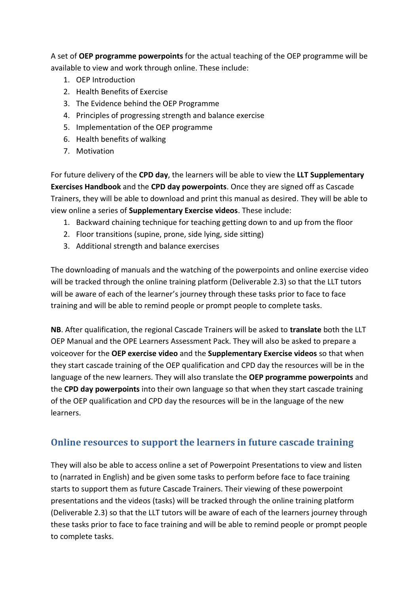A set of **OEP programme powerpoints** for the actual teaching of the OEP programme will be available to view and work through online. These include:

- 1. OEP Introduction
- 2. Health Benefits of Exercise
- 3. The Evidence behind the OEP Programme
- 4. Principles of progressing strength and balance exercise
- 5. Implementation of the OEP programme
- 6. Health benefits of walking
- 7. Motivation

For future delivery of the **CPD day**, the learners will be able to view the **LLT Supplementary Exercises Handbook** and the **CPD day powerpoints**. Once they are signed off as Cascade Trainers, they will be able to download and print this manual as desired. They will be able to view online a series of **Supplementary Exercise videos**. These include:

- 1. Backward chaining technique for teaching getting down to and up from the floor
- 2. Floor transitions (supine, prone, side lying, side sitting)
- 3. Additional strength and balance exercises

The downloading of manuals and the watching of the powerpoints and online exercise video will be tracked through the online training platform (Deliverable 2.3) so that the LLT tutors will be aware of each of the learner's journey through these tasks prior to face to face training and will be able to remind people or prompt people to complete tasks.

**NB**. After qualification, the regional Cascade Trainers will be asked to **translate** both the LLT OEP Manual and the OPE Learners Assessment Pack. They will also be asked to prepare a voiceover for the **OEP exercise video** and the **Supplementary Exercise videos** so that when they start cascade training of the OEP qualification and CPD day the resources will be in the language of the new learners. They will also translate the **OEP programme powerpoints** and the **CPD day powerpoints** into their own language so that when they start cascade training of the OEP qualification and CPD day the resources will be in the language of the new learners.

## <span id="page-3-0"></span>**Online resources to support the learners in future cascade training**

They will also be able to access online a set of Powerpoint Presentations to view and listen to (narrated in English) and be given some tasks to perform before face to face training starts to support them as future Cascade Trainers. Their viewing of these powerpoint presentations and the videos (tasks) will be tracked through the online training platform (Deliverable 2.3) so that the LLT tutors will be aware of each of the learners journey through these tasks prior to face to face training and will be able to remind people or prompt people to complete tasks.